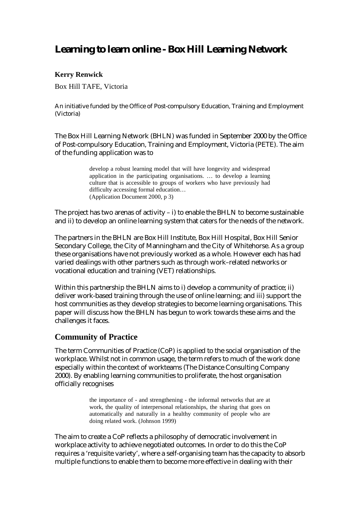# **Learning to learn online - Box Hill Learning Network**

#### **Kerry Renwick**

Box Hill TAFE, Victoria

An initiative funded by the Office of Post-compulsory Education, Training and Employment (Victoria)

The Box Hill Learning Network (BHLN) was funded in September 2000 by the Office of Post-compulsory Education, Training and Employment, Victoria (PETE). The aim of the funding application was to

> develop a robust learning model that will have longevity and widespread application in the participating organisations. … to develop a learning culture that is accessible to groups of workers who have previously had difficulty accessing formal education… (Application Document 2000, p 3)

The project has two arenas of activity  $-$  i) to enable the BHLN to become sustainable and ii) to develop an online learning system that caters for the needs of the network.

The partners in the BHLN are Box Hill Institute, Box Hill Hospital, Box Hill Senior Secondary College, the City of Manningham and the City of Whitehorse. As a group these organisations have not previously worked as a whole. However each has had varied dealings with other partners such as through work–related networks or vocational education and training (VET) relationships.

Within this partnership the BHLN aims to i) develop a community of practice; ii) deliver work-based training through the use of online learning; and iii) support the host communities as they develop strategies to become learning organisations. This paper will discuss how the BHLN has begun to work towards these aims and the challenges it faces.

#### **Community of Practice**

The term Communities of Practice (CoP) is applied to the social organisation of the workplace. Whilst not in common usage, the term refers to much of the work done especially within the context of workteams (The Distance Consulting Company 2000). By enabling learning communities to proliferate, the host organisation officially recognises

> the importance of - and strengthening - the informal networks that are at work, the quality of interpersonal relationships, the sharing that goes on automatically and naturally in a healthy community of people who are doing related work. (Johnson 1999)

The aim to create a CoP reflects a philosophy of democratic involvement in workplace activity to achieve negotiated outcomes. In order to do this the CoP requires a 'requisite variety', where a self-organising team has the capacity to absorb multiple functions to enable them to become more effective in dealing with their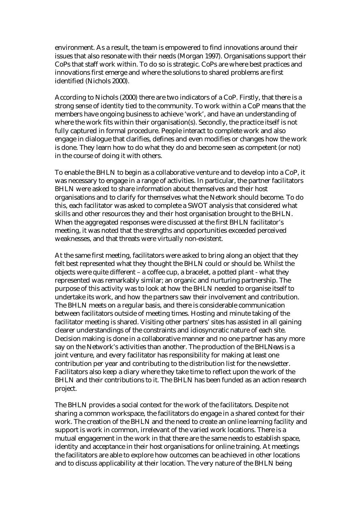environment. As a result, the team is empowered to find innovations around their issues that also resonate with their needs (Morgan 1997). Organisations support their CoPs that staff work within. To do so is strategic. CoPs are where best practices and innovations first emerge and where the solutions to shared problems are first identified (Nichols 2000).

According to Nichols (2000) there are two indicators of a CoP. Firstly, that there is a strong sense of identity tied to the community. To work within a CoP means that the members have ongoing business to achieve 'work', and have an understanding of where the work fits within their organisation(s). Secondly, the practice itself is not fully captured in formal procedure. People interact to complete work and also engage in dialogue that clarifies, defines and even modifies or changes how the work is done. They learn how to do what they do and become seen as competent (or not) in the course of doing it with others.

To enable the BHLN to begin as a collaborative venture and to develop into a CoP, it was necessary to engage in a range of activities. In particular, the partner facilitators BHLN were asked to share information about themselves and their host organisations and to clarify for themselves what the Network should become. To do this, each facilitator was asked to complete a SWOT analysis that considered what skills and other resources they and their host organisation brought to the BHLN. When the aggregated responses were discussed at the first BHLN facilitator's meeting, it was noted that the strengths and opportunities exceeded perceived weaknesses, and that threats were virtually non-existent.

At the same first meeting, facilitators were asked to bring along an object that they felt best represented what they thought the BHLN could or should be. Whilst the objects were quite different – a coffee cup, a bracelet, a potted plant - what they represented was remarkably similar; an organic and nurturing partnership. The purpose of this activity was to look at how the BHLN needed to organise itself to undertake its work, and how the partners saw their involvement and contribution. The BHLN meets on a regular basis, and there is considerable communication between facilitators outside of meeting times. Hosting and minute taking of the facilitator meeting is shared. Visiting other partners' sites has assisted in all gaining clearer understandings of the constraints and idiosyncratic nature of each site. Decision making is done in a collaborative manner and no one partner has any more say on the Network's activities than another. The production of the *BHLNews* is a joint venture, and every facilitator has responsibility for making at least one contribution per year and contributing to the distribution list for the newsletter. Facilitators also keep a diary where they take time to reflect upon the work of the BHLN and their contributions to it. The BHLN has been funded as an action research project.

The BHLN provides a social context for the work of the facilitators. Despite not sharing a common workspace, the facilitators do engage in a shared context for their work. The creation of the BHLN and the need to create an online learning facility and support is work in common, irrelevant of the varied work locations. There is a mutual engagement in the work in that there are the same needs to establish space, identity and acceptance in their host organisations for online training. At meetings the facilitators are able to explore how outcomes can be achieved in other locations and to discuss applicability at their location. The very nature of the BHLN being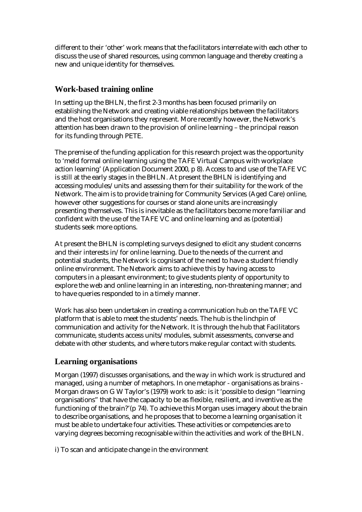different to their 'other' work means that the facilitators interrelate with each other to discuss the use of shared resources, using common language and thereby creating a new and unique identity for themselves.

# **Work-based training online**

In setting up the BHLN, the first 2-3 months has been focused primarily on establishing the Network and creating viable relationships between the facilitators and the host organisations they represent. More recently however, the Network's attention has been drawn to the provision of online learning – the principal reason for its funding through PETE.

The premise of the funding application for this research project was the opportunity to 'meld formal online learning using the TAFE Virtual Campus with workplace action learning' (Application Document 2000, p 8). Access to and use of the TAFE VC is still at the early stages in the BHLN. At present the BHLN is identifying and accessing modules/units and assessing them for their suitability for the work of the Network. The aim is to provide training for Community Services (Aged Care) online, however other suggestions for courses or stand alone units are increasingly presenting themselves. This is inevitable as the facilitators become more familiar and confident with the use of the TAFE VC and online learning and as (potential) students seek more options.

At present the BHLN is completing surveys designed to elicit any student concerns and their interests in/for online learning. Due to the needs of the current and potential students, the Network is cognisant of the need to have a student friendly online environment. The Network aims to achieve this by having access to computers in a pleasant environment; to give students plenty of opportunity to explore the web and online learning in an interesting, non-threatening manner; and to have queries responded to in a timely manner.

Work has also been undertaken in creating a communication hub on the TAFE VC platform that is able to meet the students' needs. The hub is the linchpin of communication and activity for the Network. It is through the hub that Facilitators communicate, students access units/modules, submit assessments, converse and debate with other students, and where tutors make regular contact with students.

# **Learning organisations**

Morgan (1997) discusses organisations, and the way in which work is structured and managed, using a number of metaphors. In one metaphor - organisations as brains - Morgan draws on G W Taylor's (1979) work to ask: is it 'possible to design "learning organisations" that have the capacity to be as flexible, resilient, and inventive as the functioning of the brain?'(p 74). To achieve this Morgan uses imagery about the brain to describe organisations, and he proposes that to become a learning organisation it must be able to undertake four activities. These activities or competencies are to varying degrees becoming recognisable within the activities and work of the BHLN.

i) To scan and anticipate change in the environment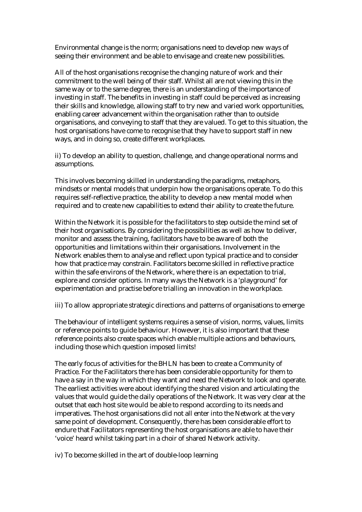Environmental change is the norm; organisations need to develop new ways of seeing their environment and be able to envisage and create new possibilities.

All of the host organisations recognise the changing nature of work and their commitment to the well being of their staff. Whilst all are not viewing this in the same way or to the same degree, there is an understanding of the importance of investing in staff. The benefits in investing in staff could be perceived as increasing their skills and knowledge, allowing staff to try new and varied work opportunities, enabling career advancement within the organisation rather than to outside organisations, and conveying to staff that they are valued. To get to this situation, the host organisations have come to recognise that they have to support staff in new ways, and in doing so, create different workplaces.

ii) To develop an ability to question, challenge, and change operational norms and assumptions.

This involves becoming skilled in understanding the paradigms, metaphors, mindsets or mental models that underpin how the organisations operate. To do this requires self-reflective practice, the ability to develop a new mental model when required and to create new capabilities to extend their ability to create the future.

Within the Network it is possible for the facilitators to step outside the mind set of their host organisations. By considering the possibilities as well as how to deliver, monitor and assess the training, facilitators have to be aware of both the opportunities and limitations within their organisations. Involvement in the Network enables them to analyse and reflect upon typical practice and to consider how that practice may constrain. Facilitators become skilled in reflective practice within the safe environs of the Network, where there is an expectation to trial, explore and consider options. In many ways the Network is a 'playground' for experimentation and practise before trialling an innovation in the workplace.

iii) To allow appropriate strategic directions and patterns of organisations to emerge

The behaviour of intelligent systems requires a sense of vision, norms, values, limits or reference points to guide behaviour. However, it is also important that these reference points also create spaces which enable multiple actions and behaviours, including those which question imposed limits!

The early focus of activities for the BHLN has been to create a Community of Practice. For the Facilitators there has been considerable opportunity for them to have a say in the way in which they want and need the Network to look and operate. The earliest activities were about identifying the shared vision and articulating the values that would guide the daily operations of the Network. It was very clear at the outset that each host site would be able to respond according to its needs and imperatives. The host organisations did not all enter into the Network at the very same point of development. Consequently, there has been considerable effort to endure that Facilitators representing the host organisations are able to have their 'voice' heard whilst taking part in a choir of shared Network activity.

iv) To become skilled in the art of double-loop learning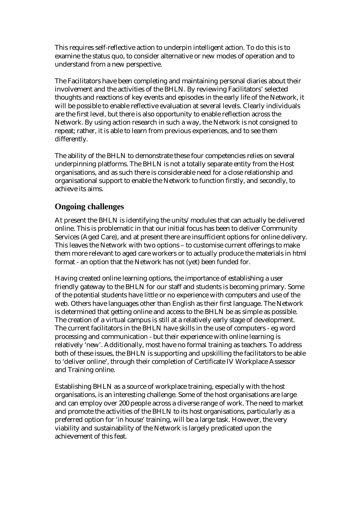This requires self-reflective action to underpin intelligent action. To do this is to examine the status quo, to consider alternative or new modes of operation and to understand from a new perspective.

The Facilitators have been completing and maintaining personal diaries about their involvement and the activities of the BHLN. By reviewing Facilitators' selected thoughts and reactions of key events and episodes in the early life of the Network, it will be possible to enable reflective evaluation at several levels. Clearly individuals are the first level, but there is also opportunity to enable reflection across the Network. By using action research in such a way, the Network is not consigned to repeat; rather, it is able to learn from previous experiences, and to see them differently.

The ability of the BHLN to demonstrate these four competencies relies on several underpinning platforms. The BHLN is not a totally separate entity from the Host organisations, and as such there is considerable need for a close relationship and organisational support to enable the Network to function firstly, and secondly, to achieve its aims.

# **Ongoing challenges**

At present the BHLN is identifying the units/modules that can actually be delivered online. This is problematic in that our initial focus has been to deliver Community Services (Aged Care), and at present there are insufficient options for online delivery. This leaves the Network with two options – to customise current offerings to make them more relevant to aged care workers or to actually produce the materials in html format - an option that the Network has not (yet) been funded for.

Having created online learning options, the importance of establishing a user friendly gateway to the BHLN for our staff and students is becoming primary. Some of the potential students have little or no experience with computers and use of the web. Others have languages other than English as their first language. The Network is determined that getting online and access to the BHLN be as simple as possible. The creation of a virtual campus is still at a relatively early stage of development. The current facilitators in the BHLN have skills in the use of computers - eg word processing and communication - but their experience with online learning is relatively 'new'. Additionally, most have no formal training as teachers. To address both of these issues, the BHLN is supporting and upskilling the facilitators to be able to 'deliver online', through their completion of Certificate IV Workplace Assessor and Training online.

Establishing BHLN as a source of workplace training, especially with the host organisations, is an interesting challenge. Some of the host organisations are large and can employ over 200 people across a diverse range of work. The need to market and promote the activities of the BHLN to its host organisations, particularly as a preferred option for 'in house' training, will be a large task. However, the very viability and sustainability of the Network is largely predicated upon the achievement of this feat.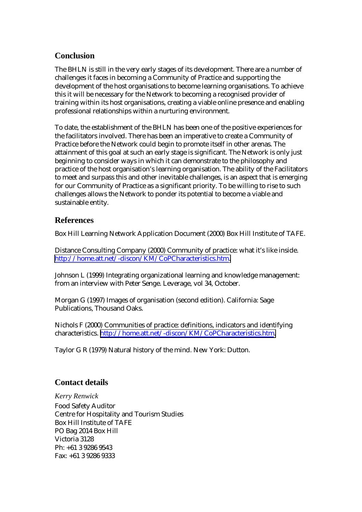# **Conclusion**

The BHLN is still in the very early stages of its development. There are a number of challenges it faces in becoming a Community of Practice and supporting the development of the host organisations to become learning organisations. To achieve this it will be necessary for the Network to becoming a recognised provider of training within its host organisations, creating a viable online presence and enabling professional relationships within a nurturing environment.

To date, the establishment of the BHLN has been one of the positive experiences for the facilitators involved. There has been an imperative to create a Community of Practice before the Network could begin to promote itself in other arenas. The attainment of this goal at such an early stage is significant. The Network is only just beginning to consider ways in which it can demonstrate to the philosophy and practice of the host organisation's learning organisation. The ability of the Facilitators to meet and surpass this and other inevitable challenges, is an aspect that is emerging for our Community of Practice as a significant priority. To be willing to rise to such challenges allows the Network to ponder its potential to become a viable and sustainable entity.

# **References**

Box Hill Learning Network Application Document (2000) Box Hill Institute of TAFE.

Distance Consulting Company (2000) Community of practice: what it's like inside. [http://home.att.net/-discon/KM/CoPCharacteristics.htm.](http://home.att.net/-discon/KM/CoPCharacteristics.htm) 

Johnson L (1999) Integrating organizational learning and knowledge management: from an interview with Peter Senge. Leverage, vol 34, October.

Morgan G (1997) Images of organisation (second edition). California: Sage Publications, Thousand Oaks.

Nichols F (2000) Communities of practice: definitions, indicators and identifying characteristics. [http://home.att.net/-discon/KM/CoPCharacteristics.htm.](http://home.att.net/-discon/KM/CoPCharacteristics.htm)

Taylor G R (1979) Natural history of the mind. New York: Dutton.

# **Contact details**

*Kerry Renwick*  Food Safety Auditor Centre for Hospitality and Tourism Studies Box Hill Institute of TAFE PO Bag 2014 Box Hill Victoria 3128 Ph: +61 3 9286 9543 Fax: +61 3 9286 9333